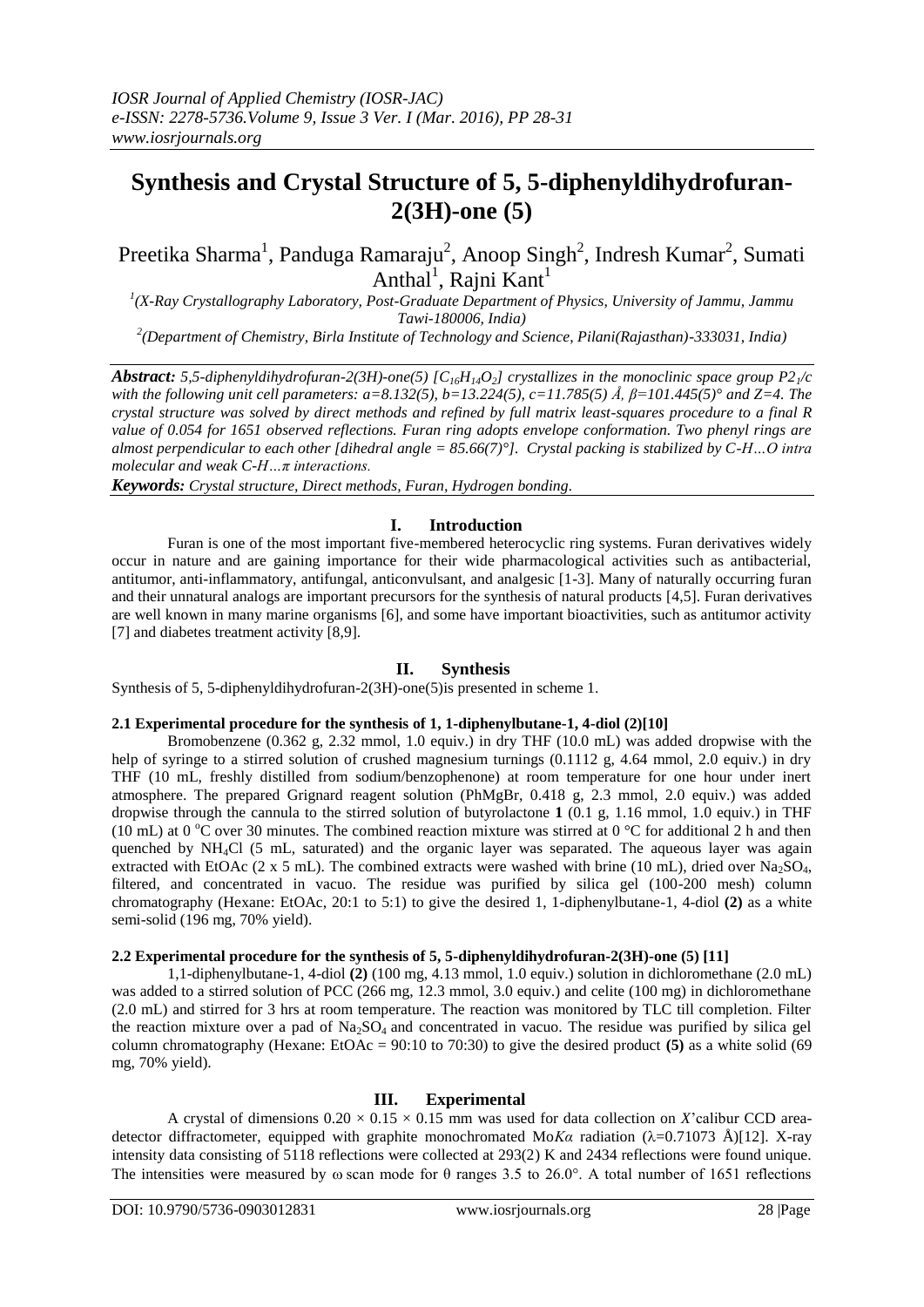# **Synthesis and Crystal Structure of 5, 5-diphenyldihydrofuran-2(3H)-one (5)**

## Preetika Sharma<sup>1</sup>, Panduga Ramaraju<sup>2</sup>, Anoop Singh<sup>2</sup>, Indresh Kumar<sup>2</sup>, Sumati Anthal<sup>1</sup>, Rajni Kant<sup>1</sup>

<sup>1</sup>(X-Ray Crystallography Laboratory, Post-Graduate Department of Physics, University of Jammu, Jammu *Tawi-180006, India)*

*2 (Department of Chemistry, Birla Institute of Technology and Science, Pilani(Rajasthan)-333031, India)*

*Abstract: 5,5-diphenyldihydrofuran-2(3H)-one(5) [C16H14O2] crystallizes in the monoclinic space group P21/c with the following unit cell parameters: a=8.132(5), b=13.224(5), c=11.785(5) Å, β=101.445(5)° and Z=4. The crystal structure was solved by direct methods and refined by full matrix least-squares procedure to a final R value of 0.054 for 1651 observed reflections. Furan ring adopts envelope conformation. Two phenyl rings are almost perpendicular to each other [dihedral angle = 85.66(7)°]. Crystal packing is stabilized by C-H…O intra molecular and weak C-H…π interactions.*

*Keywords: Crystal structure, Direct methods, Furan, Hydrogen bonding.*

## **I. Introduction**

Furan is one of the most important five-membered heterocyclic ring systems. Furan derivatives widely occur in nature and are gaining importance for their wide pharmacological activities such as antibacterial, antitumor, anti-inflammatory, antifungal, anticonvulsant, and analgesic [1-3]. Many of naturally occurring furan and their unnatural analogs are important precursors for the synthesis of natural products [4,5]. Furan derivatives are well known in many marine organisms [6], and some have important bioactivities, such as antitumor activity [7] and diabetes treatment activity [8,9].

## **II. Synthesis**

Synthesis of 5, 5-diphenyldihydrofuran-2(3H)-one(5)is presented in scheme 1.

#### **2.1 Experimental procedure for the synthesis of 1, 1-diphenylbutane-1, 4-diol (2)[10]**

Bromobenzene (0.362 g, 2.32 mmol, 1.0 equiv.) in dry THF (10.0 mL) was added dropwise with the help of syringe to a stirred solution of crushed magnesium turnings (0.1112 g, 4.64 mmol, 2.0 equiv.) in dry THF (10 mL, freshly distilled from sodium/benzophenone) at room temperature for one hour under inert atmosphere. The prepared Grignard reagent solution (PhMgBr, 0.418 g, 2.3 mmol, 2.0 equiv.) was added dropwise through the cannula to the stirred solution of butyrolactone **1** (0.1 g, 1.16 mmol, 1.0 equiv.) in THF (10 mL) at 0 °C over 30 minutes. The combined reaction mixture was stirred at 0 °C for additional 2 h and then quenched by NH4Cl (5 mL, saturated) and the organic layer was separated. The aqueous layer was again extracted with EtOAc (2 x 5 mL). The combined extracts were washed with brine (10 mL), dried over Na<sub>2</sub>SO<sub>4</sub>, filtered, and concentrated in vacuo. The residue was purified by silica gel (100-200 mesh) column chromatography (Hexane: EtOAc, 20:1 to 5:1) to give the desired 1, 1-diphenylbutane-1, 4-diol **(2)** as a white semi-solid (196 mg, 70% yield).

#### **2.2 Experimental procedure for the synthesis of 5, 5-diphenyldihydrofuran-2(3H)-one (5) [11]**

1,1-diphenylbutane-1, 4-diol **(2)** (100 mg, 4.13 mmol, 1.0 equiv.) solution in dichloromethane (2.0 mL) was added to a stirred solution of PCC (266 mg, 12.3 mmol, 3.0 equiv.) and celite (100 mg) in dichloromethane (2.0 mL) and stirred for 3 hrs at room temperature. The reaction was monitored by TLC till completion. Filter the reaction mixture over a pad of  $Na<sub>2</sub>SO<sub>4</sub>$  and concentrated in vacuo. The residue was purified by silica gel column chromatography (Hexane: EtOAc = 90:10 to 70:30) to give the desired product **(5)** as a white solid (69 mg, 70% yield).

## **III. Experimental**

A crystal of dimensions  $0.20 \times 0.15 \times 0.15$  mm was used for data collection on *X*'calibur CCD areadetector diffractometer, equipped with graphite monochromated Mo*Ka* radiation  $(\lambda=0.71073 \text{ Å})[12]$ . X-ray intensity data consisting of 5118 reflections were collected at 293(2) K and 2434 reflections were found unique. The intensities were measured by  $\omega$  scan mode for  $\theta$  ranges 3.5 to 26.0°. A total number of 1651 reflections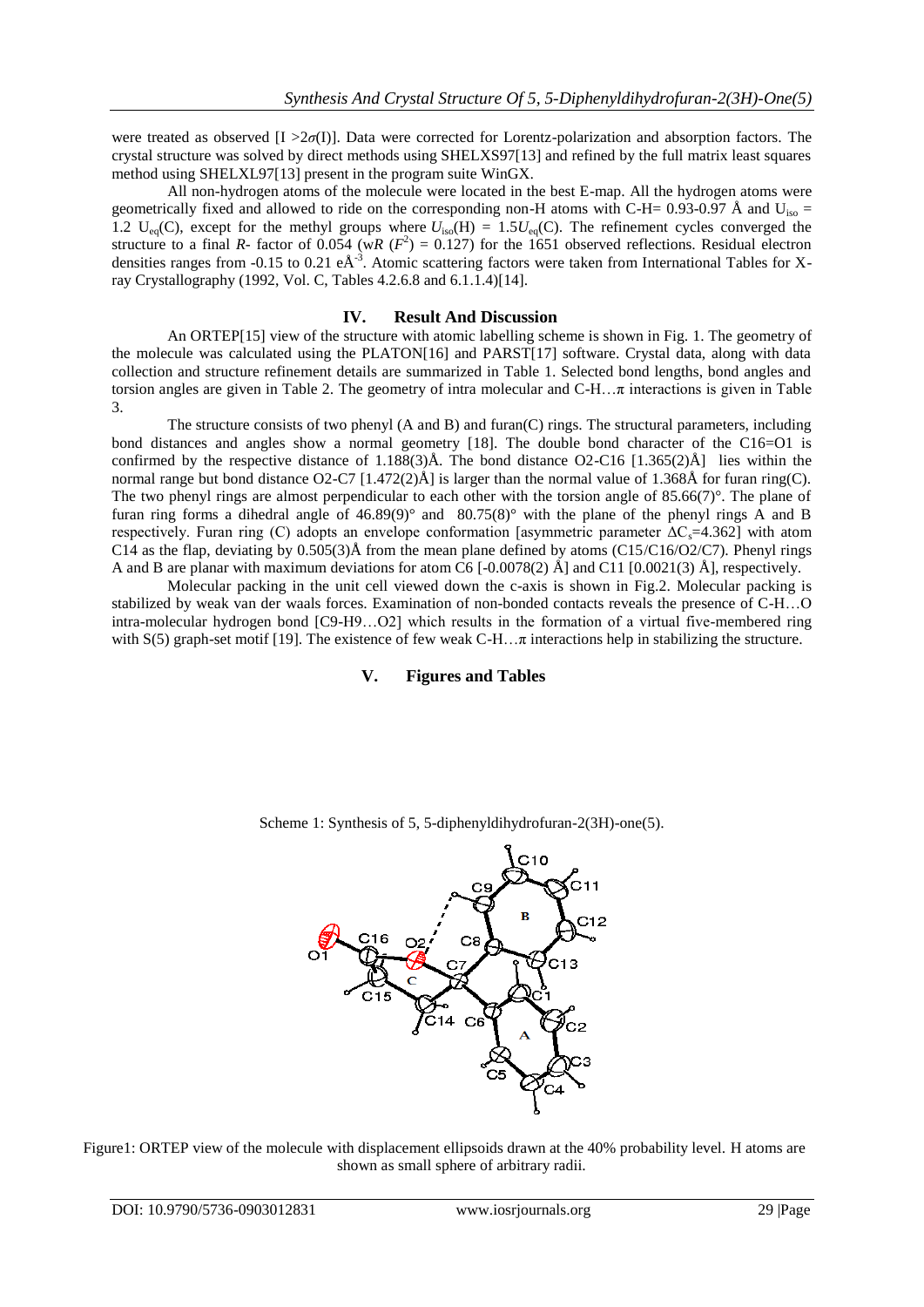were treated as observed [I >2*σ*(I)]. Data were corrected for Lorentz-polarization and absorption factors. The crystal structure was solved by direct methods using SHELXS97[13] and refined by the full matrix least squares method using SHELXL97[13] present in the program suite WinGX.

All non-hydrogen atoms of the molecule were located in the best E-map. All the hydrogen atoms were geometrically fixed and allowed to ride on the corresponding non-H atoms with C-H= 0.93-0.97 Å and  $U_{\rm iso}$  = 1.2 U<sub>eq</sub>(C), except for the methyl groups where  $U_{iso}(H) = 1.5U_{eq}(C)$ . The refinement cycles converged the structure to a final *R*- factor of 0.054 (w*R* ( $F^2$ ) = 0.127) for the 1651 observed reflections. Residual electron densities ranges from -0.15 to 0.21  $eA^{-3}$ . Atomic scattering factors were taken from International Tables for Xray Crystallography (1992, Vol. C, Tables 4.2.6.8 and 6.1.1.4)[14].

#### **IV. Result And Discussion**

An ORTEP[15] view of the structure with atomic labelling scheme is shown in Fig. 1. The geometry of the molecule was calculated using the PLATON[16] and PARST[17] software. Crystal data, along with data collection and structure refinement details are summarized in Table 1. Selected bond lengths, bond angles and torsion angles are given in Table 2. The geometry of intra molecular and C-H…π interactions is given in Table 3.

The structure consists of two phenyl (A and B) and furan(C) rings. The structural parameters, including bond distances and angles show a normal geometry [18]. The double bond character of the C16=O1 is confirmed by the respective distance of 1.188(3) $\AA$ . The bond distance O2-C16 [1.365(2) $\AA$ ] lies within the normal range but bond distance O2-C7 [1.472(2)Å] is larger than the normal value of 1.368Å for furan ring(C). The two phenyl rings are almost perpendicular to each other with the torsion angle of 85.66(7)°. The plane of furan ring forms a dihedral angle of  $46.89(9)^\circ$  and  $80.75(8)^\circ$  with the plane of the phenyl rings A and B respectively. Furan ring (C) adopts an envelope conformation [asymmetric parameter  $\Delta C_s$ =4.362] with atom C14 as the flap, deviating by  $0.505(3)$ Å from the mean plane defined by atoms (C15/C16/O2/C7). Phenyl rings A and B are planar with maximum deviations for atom C6 [-0.0078(2) Å] and C11 [0.0021(3) Å], respectively.

Molecular packing in the unit cell viewed down the c-axis is shown in Fig.2. Molecular packing is stabilized by weak van der waals forces. Examination of non-bonded contacts reveals the presence of C-H…O intra-molecular hydrogen bond [C9-H9…O2] which results in the formation of a virtual five-membered ring with  $S(5)$  graph-set motif [19]. The existence of few weak  $C-H...$ π interactions help in stabilizing the structure.

## **V. Figures and Tables**



Scheme 1: Synthesis of 5, 5-diphenyldihydrofuran-2(3H)-one(5).

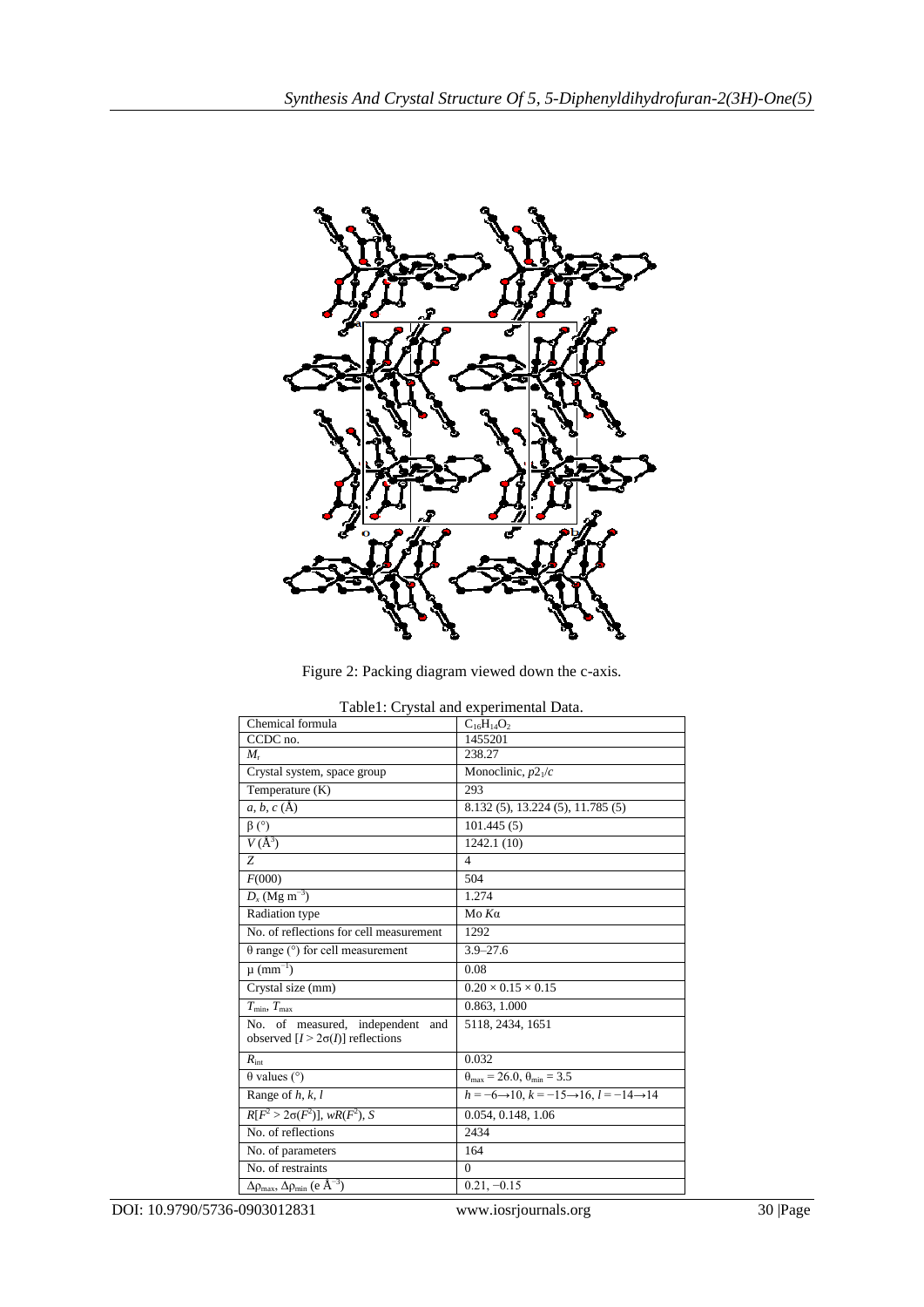

Figure 2: Packing diagram viewed down the c-axis.

| I abic1. Ci ystai and cxpcrimental Data.                              |                                                                               |  |  |  |  |  |
|-----------------------------------------------------------------------|-------------------------------------------------------------------------------|--|--|--|--|--|
| Chemical formula                                                      | $C_{16}H_{14}O_2$                                                             |  |  |  |  |  |
| CCDC no.                                                              | 1455201                                                                       |  |  |  |  |  |
| $M_{r}$                                                               | 238.27                                                                        |  |  |  |  |  |
| Crystal system, space group                                           | Monoclinic, $p2_1/c$                                                          |  |  |  |  |  |
| Temperature (K)                                                       | 293                                                                           |  |  |  |  |  |
| $a, b, c (\mathbf{A})$                                                | 8.132 (5), 13.224 (5), 11.785 (5)                                             |  |  |  |  |  |
| $\beta$ (°)                                                           | 101.445(5)                                                                    |  |  |  |  |  |
| $V(A^3)$                                                              | 1242.1(10)                                                                    |  |  |  |  |  |
| Z                                                                     | 4                                                                             |  |  |  |  |  |
| F(000)                                                                | 504                                                                           |  |  |  |  |  |
| $D_x$ (Mg m <sup>-3</sup> )                                           | 1.274                                                                         |  |  |  |  |  |
| Radiation type                                                        | $M$ ο Κα                                                                      |  |  |  |  |  |
| No. of reflections for cell measurement                               | 1292                                                                          |  |  |  |  |  |
| $\theta$ range ( $\degree$ ) for cell measurement                     | $3.9 - 27.6$                                                                  |  |  |  |  |  |
| $\mu$ (mm <sup>-1</sup> )                                             | 0.08                                                                          |  |  |  |  |  |
| Crystal size (mm)                                                     | $0.20 \times 0.15 \times 0.15$                                                |  |  |  |  |  |
| $T_{\min}$ , $T_{\max}$                                               | 0.863, 1.000                                                                  |  |  |  |  |  |
| No. of measured, independent<br>and                                   | 5118, 2434, 1651                                                              |  |  |  |  |  |
| observed $[I > 2\sigma(I)]$ reflections                               |                                                                               |  |  |  |  |  |
| $R_{\text{int}}$                                                      | 0.032                                                                         |  |  |  |  |  |
| $\theta$ values ( $\degree$ )                                         | $\theta_{\text{max}}$ = 26.0, $\theta_{\text{min}}$ = 3.5                     |  |  |  |  |  |
| Range of $h, k, l$                                                    | $h = -6 \rightarrow 10$ , $k = -15 \rightarrow 16$ , $l = -14 \rightarrow 14$ |  |  |  |  |  |
| $R[F^2 > 2\sigma(F^2)], wR(F^2), S$                                   | 0.054, 0.148, 1.06                                                            |  |  |  |  |  |
| No. of reflections                                                    | 2434                                                                          |  |  |  |  |  |
| No. of parameters                                                     | 164                                                                           |  |  |  |  |  |
| No. of restraints                                                     | $\Omega$                                                                      |  |  |  |  |  |
| $\Delta\rho_{\text{max}}$ , $\Delta\rho_{\text{min}}$ (e $\AA^{-3}$ ) | $0.21, -0.15$                                                                 |  |  |  |  |  |